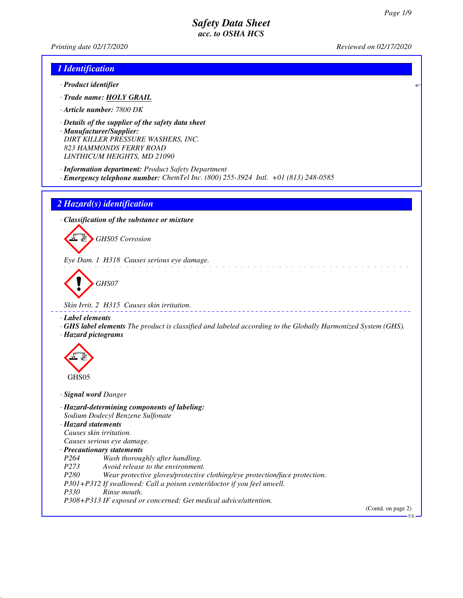*Printing date 02/17/2020 Reviewed on 02/17/2020*

#### *1 Identification*

- *· Product identifier*
- *· Trade name: HOLY GRAIL*
- *· Article number: 7800 DK*
- *· Details of the supplier of the safety data sheet · Manufacturer/Supplier: DIRT KILLER PRESSURE WASHERS, INC. 823 HAMMONDS FERRY ROAD LINTHICUM HEIGHTS, MD 21090*
- *· Information department: Product Safety Department*
- *· Emergency telephone number: ChemTel Inc. (800) 255-3924 Intl. +01 (813) 248-0585*

#### *2 Hazard(s) identification*

*· Classification of the substance or mixture*

d~*GHS05 Corrosion*

*Eye Dam. 1 H318 Causes serious eye damage.*

d~*GHS07*

*Skin Irrit. 2 H315 Causes skin irritation.*

#### *· Label elements*

*· GHS label elements The product is classified and labeled according to the Globally Harmonized System (GHS). · Hazard pictograms*



*· Signal word Danger*

*· Hazard-determining components of labeling: Sodium Dodecyl Benzene Sulfonate · Hazard statements Causes skin irritation. Causes serious eye damage. · Precautionary statements P264 Wash thoroughly after handling. P273 Avoid release to the environment. P280 Wear protective gloves/protective clothing/eye protection/face protection. P301+P312 If swallowed: Call a poison center/doctor if you feel unwell. P330 Rinse mouth. P308+P313 IF exposed or concerned: Get medical advice/attention.*

(Contd. on page 2)

US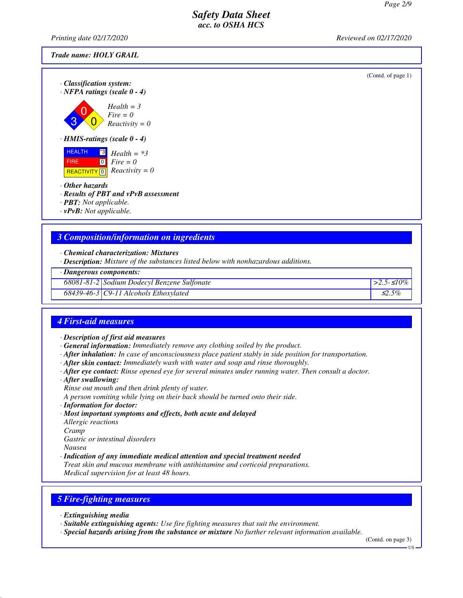(Contd. of page 1)

## *Safety Data Sheet acc. to OSHA HCS*

*Printing date 02/17/2020 Reviewed on 02/17/2020*

#### *Trade name: HOLY GRAIL*

*· Classification system: · NFPA ratings (scale 0 - 4)*

3  $\overline{0}$  $\overline{0}$ *Health = 3 Fire = 0 Reactivity = 0*

*· HMIS-ratings (scale 0 - 4)*

**HEALTH**  FIRE **REACTIVITY** 0  $\frac{13}{3}$  *Health* = \*3  $\overline{10}$ *Fire = 0 Reactivity = 0*

- *· Other hazards*
- *· Results of PBT and vPvB assessment*
- *· PBT: Not applicable.*

*· vPvB: Not applicable.*

## *3 Composition/information on ingredients*

*· Chemical characterization: Mixtures*

*· Description: Mixture of the substances listed below with nonhazardous additions.*

*· Dangerous components:*

*68081-81-2 Sodium Dodecyl Benzene Sulfonate >2.5-*≤*10%*

*68439-46-3 C9-11 Alcohols Ethoxylated* ≤*2.5%*

## *4 First-aid measures*

- *· Description of first aid measures*
- *· General information: Immediately remove any clothing soiled by the product.*
- *· After inhalation: In case of unconsciousness place patient stably in side position for transportation.*
- *· After skin contact: Immediately wash with water and soap and rinse thoroughly.*
- *· After eye contact: Rinse opened eye for several minutes under running water. Then consult a doctor.*
- *· After swallowing:*
- *Rinse out mouth and then drink plenty of water.*
- *A person vomiting while lying on their back should be turned onto their side.*
- *· Information for doctor:*
- *· Most important symptoms and effects, both acute and delayed*
- *Allergic reactions*
- *Cramp*

*Gastric or intestinal disorders*

*Nausea*

#### *· Indication of any immediate medical attention and special treatment needed*

*Treat skin and mucous membrane with antihistamine and corticoid preparations. Medical supervision for at least 48 hours.*

### *5 Fire-fighting measures*

*· Extinguishing media*

- *· Suitable extinguishing agents: Use fire fighting measures that suit the environment.*
- *· Special hazards arising from the substance or mixture No further relevant information available.*

(Contd. on page 3)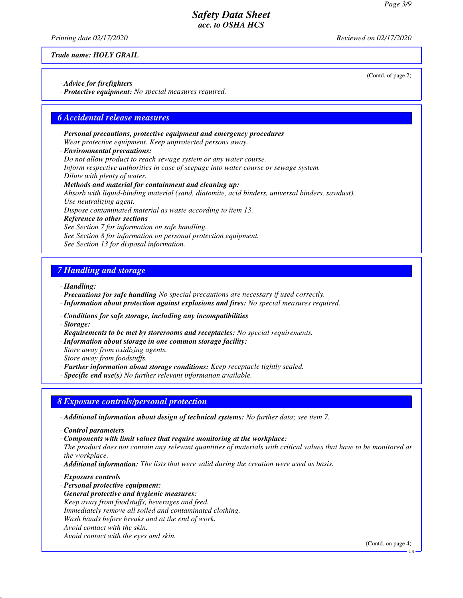*Printing date 02/17/2020 Reviewed on 02/17/2020*

*Trade name: HOLY GRAIL*

- *· Advice for firefighters*
- *· Protective equipment: No special measures required.*

#### *6 Accidental release measures*

- *· Personal precautions, protective equipment and emergency procedures Wear protective equipment. Keep unprotected persons away.*
- *· Environmental precautions: Do not allow product to reach sewage system or any water course. Inform respective authorities in case of seepage into water course or sewage system. Dilute with plenty of water.*
- *· Methods and material for containment and cleaning up: Absorb with liquid-binding material (sand, diatomite, acid binders, universal binders, sawdust). Use neutralizing agent. Dispose contaminated material as waste according to item 13.*
- *· Reference to other sections See Section 7 for information on safe handling. See Section 8 for information on personal protection equipment.*
- *See Section 13 for disposal information.*

#### *7 Handling and storage*

*· Handling:*

- *· Precautions for safe handling No special precautions are necessary if used correctly.*
- *· Information about protection against explosions and fires: No special measures required.*
- *· Conditions for safe storage, including any incompatibilities*

*· Storage:*

- *· Requirements to be met by storerooms and receptacles: No special requirements.*
- *· Information about storage in one common storage facility:*

*Store away from oxidizing agents. Store away from foodstuffs.*

- *· Further information about storage conditions: Keep receptacle tightly sealed.*
- *· Specific end use(s) No further relevant information available.*

#### *8 Exposure controls/personal protection*

- *· Additional information about design of technical systems: No further data; see item 7.*
- *· Control parameters*
- *· Components with limit values that require monitoring at the workplace:*

*The product does not contain any relevant quantities of materials with critical values that have to be monitored at the workplace.*

- *· Additional information: The lists that were valid during the creation were used as basis.*
- *· Exposure controls*
- *· Personal protective equipment:*
- *· General protective and hygienic measures:*
- *Keep away from foodstuffs, beverages and feed. Immediately remove all soiled and contaminated clothing. Wash hands before breaks and at the end of work. Avoid contact with the skin. Avoid contact with the eyes and skin.*

(Contd. on page 4)

(Contd. of page 2)

US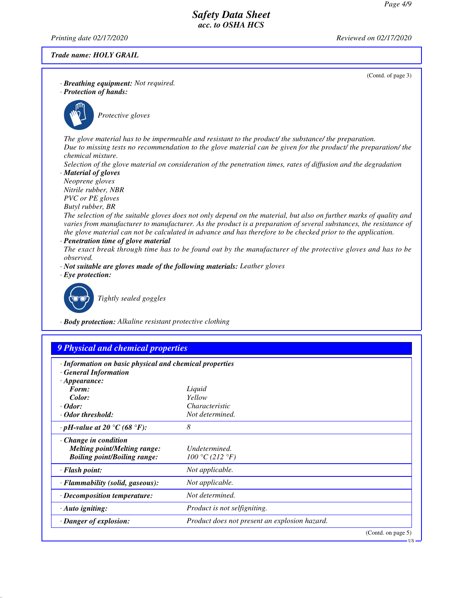*Printing date 02/17/2020 Reviewed on 02/17/2020*

#### *Trade name: HOLY GRAIL*

(Contd. of page 3)

US

*· Breathing equipment: Not required.*

*· Protection of hands:*



\_S*Protective gloves*

*The glove material has to be impermeable and resistant to the product/ the substance/ the preparation. Due to missing tests no recommendation to the glove material can be given for the product/ the preparation/ the chemical mixture.*

*Selection of the glove material on consideration of the penetration times, rates of diffusion and the degradation · Material of gloves*

*Neoprene gloves Nitrile rubber, NBR PVC or PE gloves*

*Butyl rubber, BR*

*The selection of the suitable gloves does not only depend on the material, but also on further marks of quality and varies from manufacturer to manufacturer. As the product is a preparation of several substances, the resistance of the glove material can not be calculated in advance and has therefore to be checked prior to the application.*

*· Penetration time of glove material*

*The exact break through time has to be found out by the manufacturer of the protective gloves and has to be observed.*

*· Not suitable are gloves made of the following materials: Leather gloves*

*· Eye protection:*



\_R*Tightly sealed goggles*

*· Body protection: Alkaline resistant protective clothing*

| · Information on basic physical and chemical properties |                                               |  |
|---------------------------------------------------------|-----------------------------------------------|--|
| <b>General Information</b>                              |                                               |  |
| $\cdot$ Appearance:                                     |                                               |  |
| Form:                                                   | Liquid                                        |  |
| Color:                                                  | Yellow                                        |  |
| $\cdot$ Odor:                                           | Characteristic                                |  |
| · Odor threshold:                                       | Not determined.                               |  |
| $\cdot$ pH-value at 20 °C (68 °F):                      | 8                                             |  |
| $\cdot$ Change in condition                             |                                               |  |
| <b>Melting point/Melting range:</b>                     | Undetermined.                                 |  |
| <b>Boiling point/Boiling range:</b>                     | 100 °C (212 °F)                               |  |
| · Flash point:                                          | Not applicable.                               |  |
| · Flammability (solid, gaseous):                        | Not applicable.                               |  |
| $\cdot$ Decomposition temperature:                      | Not determined.                               |  |
| $\cdot$ Auto igniting:                                  | Product is not selfigniting.                  |  |
| · Danger of explosion:                                  | Product does not present an explosion hazard. |  |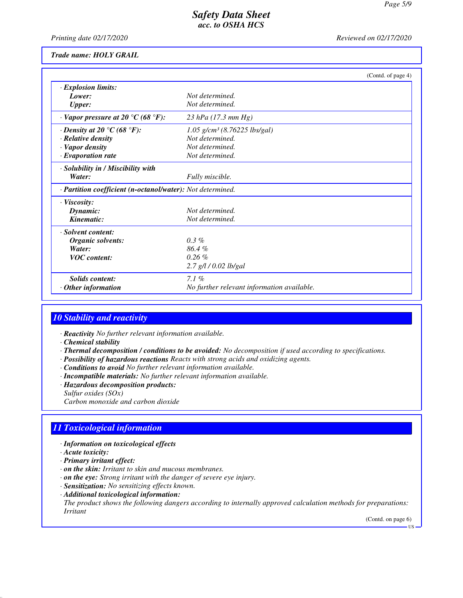*Printing date 02/17/2020 Reviewed on 02/17/2020*

#### *Trade name: HOLY GRAIL*

|                                                                       |                                            | (Contd. of page 4) |
|-----------------------------------------------------------------------|--------------------------------------------|--------------------|
| $\cdot$ Explosion limits:                                             |                                            |                    |
| Lower:                                                                | Not determined.                            |                    |
| <b>Upper:</b>                                                         | Not determined.                            |                    |
| $\cdot$ Vapor pressure at 20 $\rm{^{\circ}C}$ (68 $\rm{^{\circ}F}$ ): | 23 hPa $(17.3 \text{ mm Hg})$              |                    |
| $\cdot$ Density at 20 °C (68 °F):                                     | $1.05$ g/cm <sup>3</sup> (8.76225 lbs/gal) |                    |
| · Relative density                                                    | Not determined.                            |                    |
| · Vapor density                                                       | Not determined.                            |                    |
| · Evaporation rate                                                    | Not determined.                            |                    |
| · Solubility in / Miscibility with                                    |                                            |                    |
| Water:                                                                | Fully miscible.                            |                    |
| · Partition coefficient (n-octanol/water): Not determined.            |                                            |                    |
| · Viscosity:                                                          |                                            |                    |
| Dynamic:                                                              | Not determined.                            |                    |
| Kinematic:                                                            | Not determined.                            |                    |
| · Solvent content:                                                    |                                            |                    |
| Organic solvents:                                                     | $0.3\%$                                    |                    |
| Water:                                                                | 86.4%                                      |                    |
| <b>VOC</b> content:                                                   | $0.26\%$                                   |                    |
|                                                                       | 2.7 g/l / 0.02 lb/gal                      |                    |
| <b>Solids</b> content:                                                | 7.1%                                       |                    |
| $\cdot$ Other information                                             | No further relevant information available. |                    |

### *10 Stability and reactivity*

- *· Reactivity No further relevant information available.*
- *· Chemical stability*
- *· Thermal decomposition / conditions to be avoided: No decomposition if used according to specifications.*
- *· Possibility of hazardous reactions Reacts with strong acids and oxidizing agents.*
- *· Conditions to avoid No further relevant information available.*
- *· Incompatible materials: No further relevant information available.*
- *· Hazardous decomposition products:*
- *Sulfur oxides (SOx)*

*Carbon monoxide and carbon dioxide*

### *11 Toxicological information*

- *· Information on toxicological effects*
- *· Acute toxicity:*
- *· Primary irritant effect:*
- *· on the skin: Irritant to skin and mucous membranes.*
- *· on the eye: Strong irritant with the danger of severe eye injury.*
- *· Sensitization: No sensitizing effects known.*
- *· Additional toxicological information:*

*The product shows the following dangers according to internally approved calculation methods for preparations: Irritant*

(Contd. on page 6)

US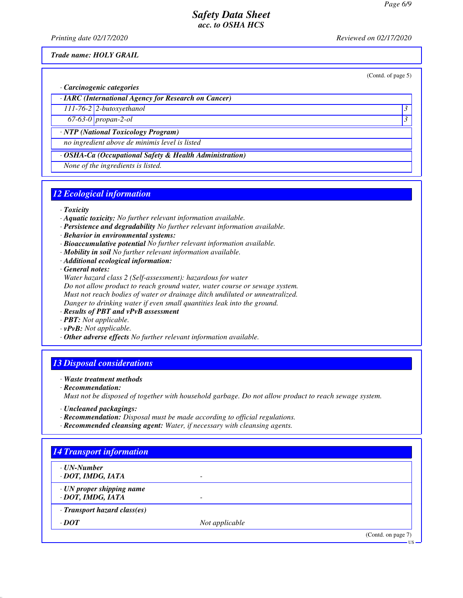*Printing date 02/17/2020 Reviewed on 02/17/2020*

#### *Trade name: HOLY GRAIL*

(Contd. of page 5)

*· Carcinogenic categories*

*· IARC (International Agency for Research on Cancer)*

*111-76-2 2-butoxyethanol 3* 

*67-63-0 propan-2-ol 3* 

*· NTP (National Toxicology Program)*

*no ingredient above de minimis level is listed*

*· OSHA-Ca (Occupational Safety & Health Administration)*

*None of the ingredients is listed.*

## *12 Ecological information*

*· Toxicity*

- *· Aquatic toxicity: No further relevant information available.*
- *· Persistence and degradability No further relevant information available.*
- *· Behavior in environmental systems:*
- *· Bioaccumulative potential No further relevant information available.*
- *· Mobility in soil No further relevant information available.*
- *· Additional ecological information:*
- *· General notes:*

*Water hazard class 2 (Self-assessment): hazardous for water*

- *Do not allow product to reach ground water, water course or sewage system. Must not reach bodies of water or drainage ditch undiluted or unneutralized. Danger to drinking water if even small quantities leak into the ground.*
- *· Results of PBT and vPvB assessment*
- *· PBT: Not applicable.*
- *· vPvB: Not applicable.*
- *· Other adverse effects No further relevant information available.*

### *13 Disposal considerations*

#### *· Waste treatment methods*

*· Recommendation:*

*Must not be disposed of together with household garbage. Do not allow product to reach sewage system.*

- *· Uncleaned packagings:*
- *· Recommendation: Disposal must be made according to official regulations.*
- *· Recommended cleansing agent: Water, if necessary with cleansing agents.*

| · UN-Number<br>· DOT, IMDG, IATA                     |                |  |
|------------------------------------------------------|----------------|--|
| $\cdot$ UN proper shipping name<br>· DOT, IMDG, IATA | -              |  |
| $\cdot$ Transport hazard class(es)                   |                |  |
| $\cdot$ <i>DOT</i>                                   | Not applicable |  |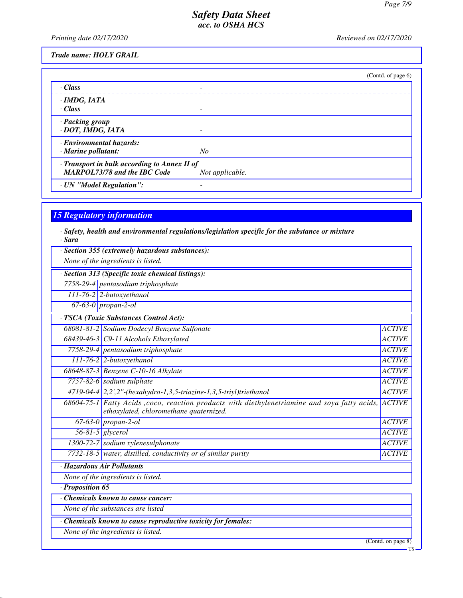*Printing date 02/17/2020 Reviewed on 02/17/2020*

### *Trade name: HOLY GRAIL*

|                                                                                     |                          | (Contd. of page $6$ ) |
|-------------------------------------------------------------------------------------|--------------------------|-----------------------|
| $\cdot$ Class                                                                       |                          |                       |
| $\cdot$ IMDG, IATA<br>· Class                                                       |                          |                       |
| · Packing group<br>· DOT, IMDG, IATA                                                | $\overline{\phantom{0}}$ |                       |
| · Environmental hazards:<br>$\cdot$ Marine pollutant:                               | No                       |                       |
| · Transport in bulk according to Annex II of<br><b>MARPOL73/78 and the IBC Code</b> | Not applicable.          |                       |
| · UN "Model Regulation":                                                            |                          |                       |

# *15 Regulatory information*

*· Safety, health and environmental regulations/legislation specific for the substance or mixture · Sara*

|                        | · Section 355 (extremely hazardous substances):                                                                                          |                   |
|------------------------|------------------------------------------------------------------------------------------------------------------------------------------|-------------------|
|                        | None of the ingredients is listed.                                                                                                       |                   |
|                        | · Section 313 (Specific toxic chemical listings):                                                                                        |                   |
|                        | 7758-29-4 pentasodium triphosphate                                                                                                       |                   |
|                        | 111-76-2 2-butoxyethanol                                                                                                                 |                   |
|                        | $67-63-0$ propan-2-ol                                                                                                                    |                   |
|                        | · TSCA (Toxic Substances Control Act):                                                                                                   |                   |
|                        | 68081-81-2 Sodium Dodecyl Benzene Sulfonate                                                                                              | <b>ACTIVE</b>     |
|                        | 68439-46-3 C9-11 Alcohols Ethoxylated                                                                                                    | <b>ACTIVE</b>     |
|                        | 7758-29-4 pentasodium triphosphate                                                                                                       | <b>ACTIVE</b>     |
|                        | 111-76-2 2-butoxyethanol                                                                                                                 | <b>ACTIVE</b>     |
|                        | 68648-87-3 Benzene C-10-16 Alkylate                                                                                                      | <b>ACTIVE</b>     |
|                        | 7757-82-6 sodium sulphate                                                                                                                | <b>ACTIVE</b>     |
|                        | 4719-04-4 2,2',2"-(hexahydro-1,3,5-triazine-1,3,5-triyl)triethanol                                                                       | <b>ACTIVE</b>     |
|                        | 68604-75-1 Fatty Acids, coco, reaction products with diethylenetriamine and soya fatty acids,<br>ethoxylated, chloromethane quaternized. | <b>ACTIVE</b>     |
|                        | $67-63-0$ propan-2-ol                                                                                                                    | <b>ACTIVE</b>     |
|                        | $56-81-5$ glycerol                                                                                                                       | <b>ACTIVE</b>     |
|                        | 1300-72-7 sodium xylenesulphonate                                                                                                        | <b>ACTIVE</b>     |
|                        | 7732-18-5 water, distilled, conductivity or of similar purity                                                                            | <b>ACTIVE</b>     |
|                        | · Hazardous Air Pollutants                                                                                                               |                   |
|                        | None of the ingredients is listed.                                                                                                       |                   |
| $\cdot$ Proposition 65 |                                                                                                                                          |                   |
|                        | Chemicals known to cause cancer:                                                                                                         |                   |
|                        | None of the substances are listed                                                                                                        |                   |
|                        | Chemicals known to cause reproductive toxicity for females:                                                                              |                   |
|                        | None of the ingredients is listed.                                                                                                       |                   |
|                        |                                                                                                                                          | (Cond. on page 8) |
|                        |                                                                                                                                          | -US               |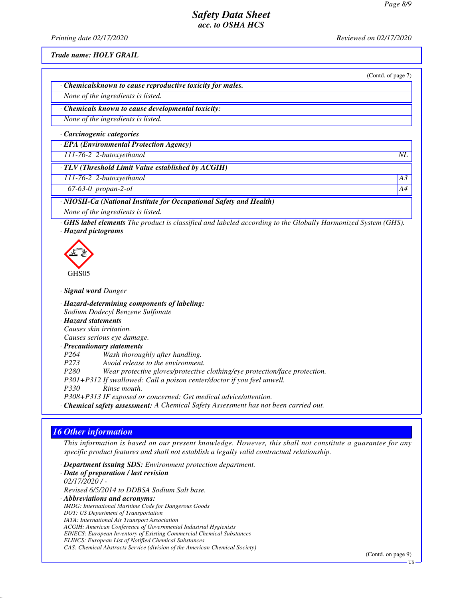*Printing date 02/17/2020 Reviewed on 02/17/2020*

(Contd. of page 7)

*Trade name: HOLY GRAIL*

*· Chemicalsknown to cause reproductive toxicity for males.*

*None of the ingredients is listed.*

*· Chemicals known to cause developmental toxicity:*

*None of the ingredients is listed.*

*· Carcinogenic categories*

*· EPA (Environmental Protection Agency)*

*111-76-2 2-butoxyethanol NL*

*· TLV (Threshold Limit Value established by ACGIH)*

*111-76-2 2-butoxyethanol A3*

*67-63-0 propan-2-ol A4*

#### *· NIOSH-Ca (National Institute for Occupational Safety and Health)*

*None of the ingredients is listed.*

*· GHS label elements The product is classified and labeled according to the Globally Harmonized System (GHS). · Hazard pictograms*



*· Signal word Danger*

*· Hazard-determining components of labeling:*

*Sodium Dodecyl Benzene Sulfonate*

*· Hazard statements*

*Causes skin irritation.*

*Causes serious eye damage.*

*· Precautionary statements*

*P264 Wash thoroughly after handling.*

*P273 Avoid release to the environment.*

*P280 Wear protective gloves/protective clothing/eye protection/face protection.*

*P301+P312 If swallowed: Call a poison center/doctor if you feel unwell.*

*P330 Rinse mouth.*

*P308+P313 IF exposed or concerned: Get medical advice/attention.*

*· Chemical safety assessment: A Chemical Safety Assessment has not been carried out.*

## *16 Other information*

*This information is based on our present knowledge. However, this shall not constitute a guarantee for any specific product features and shall not establish a legally valid contractual relationship.*

*· Department issuing SDS: Environment protection department.*

*· Date of preparation / last revision 02/17/2020 / - Revised 6/5/2014 to DDBSA Sodium Salt base. · Abbreviations and acronyms: IMDG: International Maritime Code for Dangerous Goods DOT: US Department of Transportation IATA: International Air Transport Association ACGIH: American Conference of Governmental Industrial Hygienists EINECS: European Inventory of Existing Commercial Chemical Substances ELINCS: European List of Notified Chemical Substances CAS: Chemical Abstracts Service (division of the American Chemical Society)*

(Contd. on page 9)